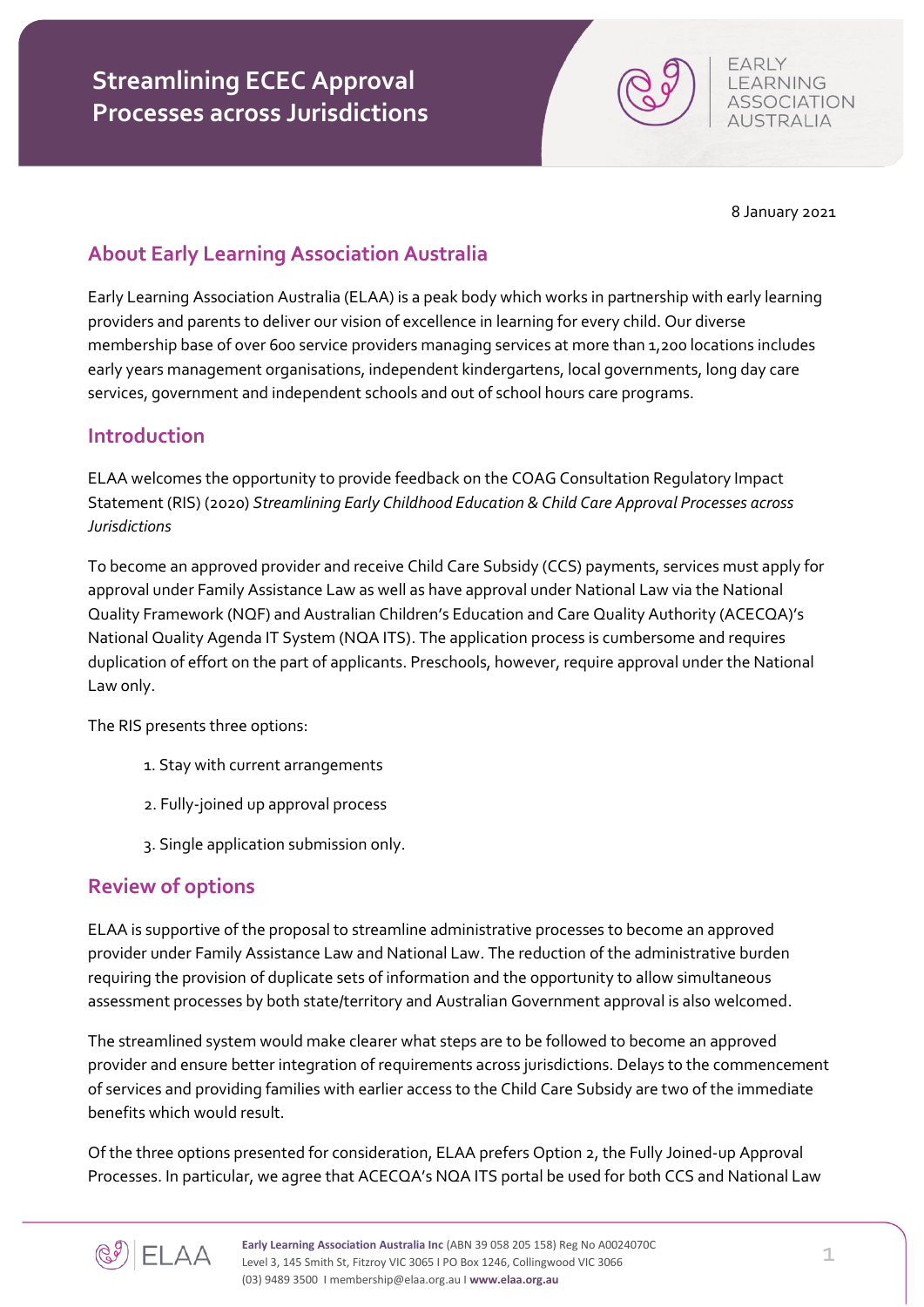8 January 2021

FARIY LEARNING **ASSOCIATION AUSTRALIA** 

### **About Early Learning Association Australia**

Early Learning Association Australia (ELAA) is a peak body which works in partnership with early learning providers and parents to deliver our vision of excellence in learning for every child. Our diverse membership base of over 600 service providers managing services at more than 1,200 locations includes early years management organisations, independent kindergartens, local governments, long day care services, government and independent schools and out of school hours care programs.

#### **Introduction**

ELAA welcomes the opportunity to provide feedback on the COAG Consultation Regulatory Impact Statement (RIS) (2020) *Streamlining Early Childhood Education & Child Care Approval Processes across Jurisdictions*

To become an approved provider and receive Child Care Subsidy (CCS) payments, services must apply for approval under Family Assistance Law as well as have approval under National Law via the National Quality Framework (NQF) and Australian Children's Education and Care Quality Authority (ACECQA)'s National Quality Agenda IT System (NQA ITS). The application process is cumbersome and requires duplication of effort on the part of applicants. Preschools, however, require approval under the National Law only.

The RIS presents three options:

- 1. Stay with current arrangements
- 2. Fully-joined up approval process
- 3. Single application submission only.

#### **Review of options**

ELAA is supportive of the proposal to streamline administrative processes to become an approved provider under Family Assistance Law and National Law. The reduction of the administrative burden requiring the provision of duplicate sets of information and the opportunity to allow simultaneous assessment processes by both state/territory and Australian Government approval is also welcomed.

The streamlined system would make clearer what steps are to be followed to become an approved provider and ensure better integration of requirements across jurisdictions. Delays to the commencement of services and providing families with earlier access to the Child Care Subsidy are two of the immediate benefits which would result.

Of the three options presented for consideration, ELAA prefers Option 2, the Fully Joined-up Approval Processes. In particular, we agree that ACECQA's NQA ITS portal be used for both CCS and National Law

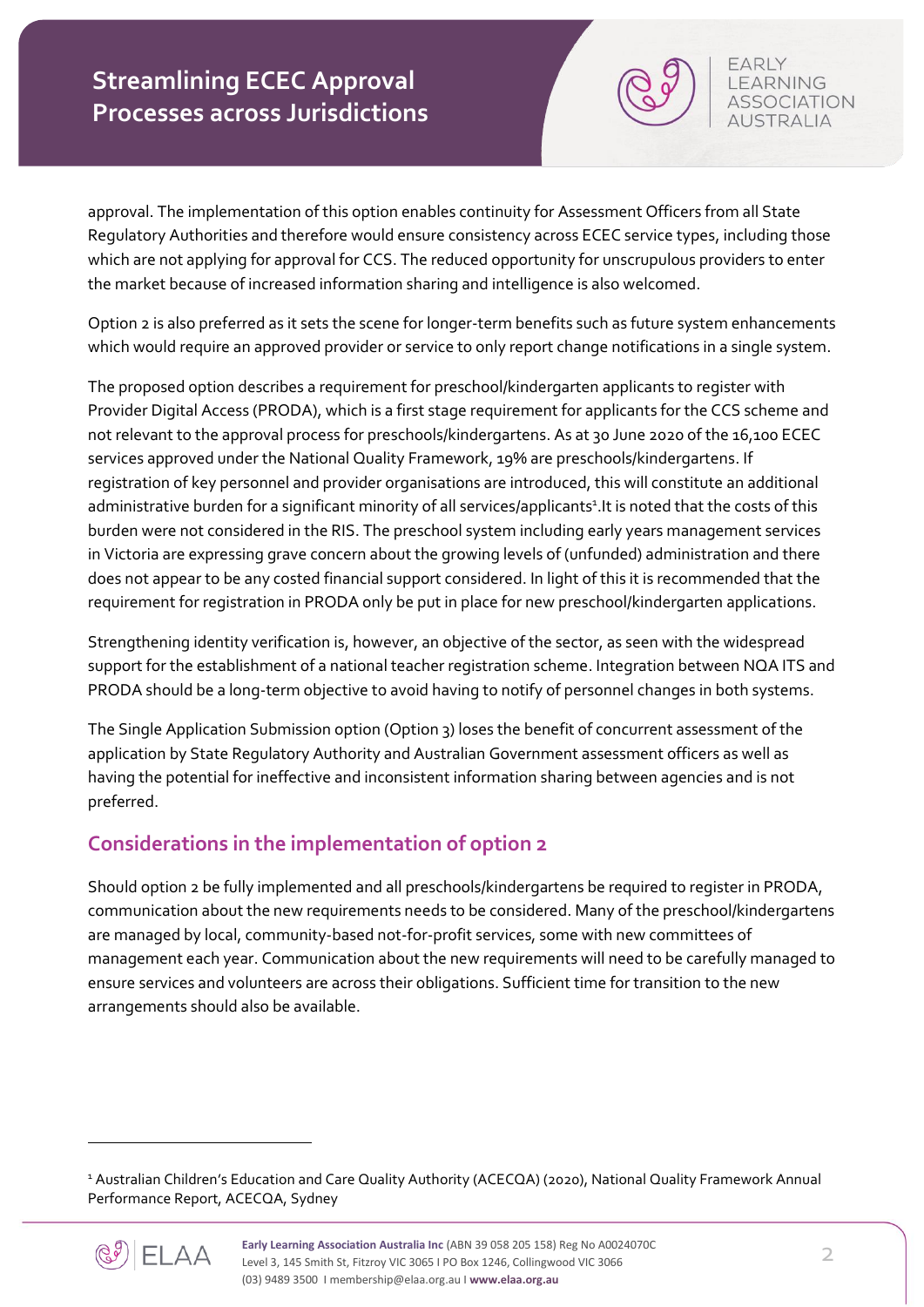approval. The implementation of this option enables continuity for Assessment Officers from all State Regulatory Authorities and therefore would ensure consistency across ECEC service types, including those which are not applying for approval for CCS. The reduced opportunity for unscrupulous providers to enter the market because of increased information sharing and intelligence is also welcomed.

Option 2 is also preferred as it sets the scene for longer-term benefits such as future system enhancements which would require an approved provider or service to only report change notifications in a single system.

The proposed option describes a requirement for preschool/kindergarten applicants to register with Provider Digital Access (PRODA), which is a first stage requirement for applicants for the CCS scheme and not relevant to the approval process for preschools/kindergartens. As at 30 June 2020 of the 16,100 ECEC services approved under the National Quality Framework, 19% are preschools/kindergartens. If registration of key personnel and provider organisations are introduced, this will constitute an additional administrative burden for a significant minority of all services/applicants<sup>1</sup>. It is noted that the costs of this burden were not considered in the RIS. The preschool system including early years management services in Victoria are expressing grave concern about the growing levels of (unfunded) administration and there does not appear to be any costed financial support considered. In light of this it is recommended that the requirement for registration in PRODA only be put in place for new preschool/kindergarten applications.

Strengthening identity verification is, however, an objective of the sector, as seen with the widespread support for the establishment of a national teacher registration scheme. Integration between NQA ITS and PRODA should be a long-term objective to avoid having to notify of personnel changes in both systems.

The Single Application Submission option (Option 3) loses the benefit of concurrent assessment of the application by State Regulatory Authority and Australian Government assessment officers as well as having the potential for ineffective and inconsistent information sharing between agencies and is not preferred.

## **Considerations in the implementation of option 2**

Should option 2 be fully implemented and all preschools/kindergartens be required to register in PRODA, communication about the new requirements needs to be considered. Many of the preschool/kindergartens are managed by local, community-based not-for-profit services, some with new committees of management each year. Communication about the new requirements will need to be carefully managed to ensure services and volunteers are across their obligations. Sufficient time for transition to the new arrangements should also be available.

<sup>1</sup> Australian Children's Education and Care Quality Authority (ACECQA) (2020), National Quality Framework Annual Performance Report, ACECQA, Sydney



**.** 

FARIY **LEARNING ASSOCIATION AUSTRALIA** 

**Early Learning Association Australia Inc** (ABN 39 058 205 158) Reg No A0024070C Level 3, 145 Smith St, Fitzroy VIC 3065 I PO Box 1246, Collingwood VIC 3066 (03) 9489 3500 I membership@elaa.org.au I **www.elaa.org.au**